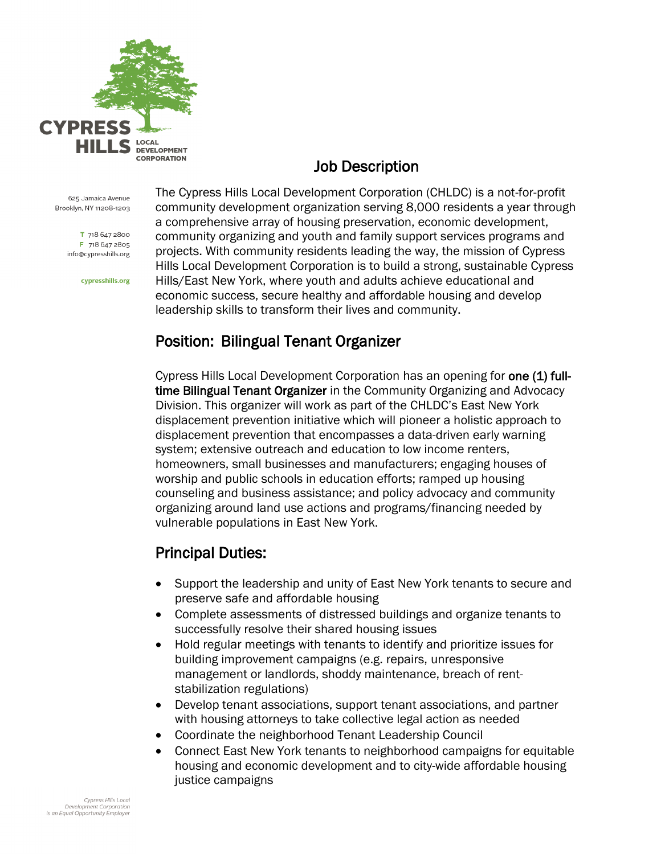

# Job Description

625 Jamaica Avenue Brooklyn, NY 11208-1203

> T 718 647 2800 F 718 647 2805 info@cypresshills.org

> > cypresshills.org

The Cypress Hills Local Development Corporation (CHLDC) is a not-for-profit community development organization serving 8,000 residents a year through a comprehensive array of housing preservation, economic development, community organizing and youth and family support services programs and projects. With community residents leading the way, the mission of Cypress Hills Local Development Corporation is to build a strong, sustainable Cypress Hills/East New York, where youth and adults achieve educational and economic success, secure healthy and affordable housing and develop leadership skills to transform their lives and community.

### Position: Bilingual Tenant Organizer

Cypress Hills Local Development Corporation has an opening for one (1) fulltime Bilingual Tenant Organizer in the Community Organizing and Advocacy Division. This organizer will work as part of the CHLDC's East New York displacement prevention initiative which will pioneer a holistic approach to displacement prevention that encompasses a data-driven early warning system; extensive outreach and education to low income renters, homeowners, small businesses and manufacturers; engaging houses of worship and public schools in education efforts; ramped up housing counseling and business assistance; and policy advocacy and community organizing around land use actions and programs/financing needed by vulnerable populations in East New York.

# Principal Duties:

- Support the leadership and unity of East New York tenants to secure and preserve safe and affordable housing
- Complete assessments of distressed buildings and organize tenants to successfully resolve their shared housing issues
- Hold regular meetings with tenants to identify and prioritize issues for building improvement campaigns (e.g. repairs, unresponsive management or landlords, shoddy maintenance, breach of rentstabilization regulations)
- Develop tenant associations, support tenant associations, and partner with housing attorneys to take collective legal action as needed
- Coordinate the neighborhood Tenant Leadership Council
- Connect East New York tenants to neighborhood campaigns for equitable housing and economic development and to city-wide affordable housing justice campaigns